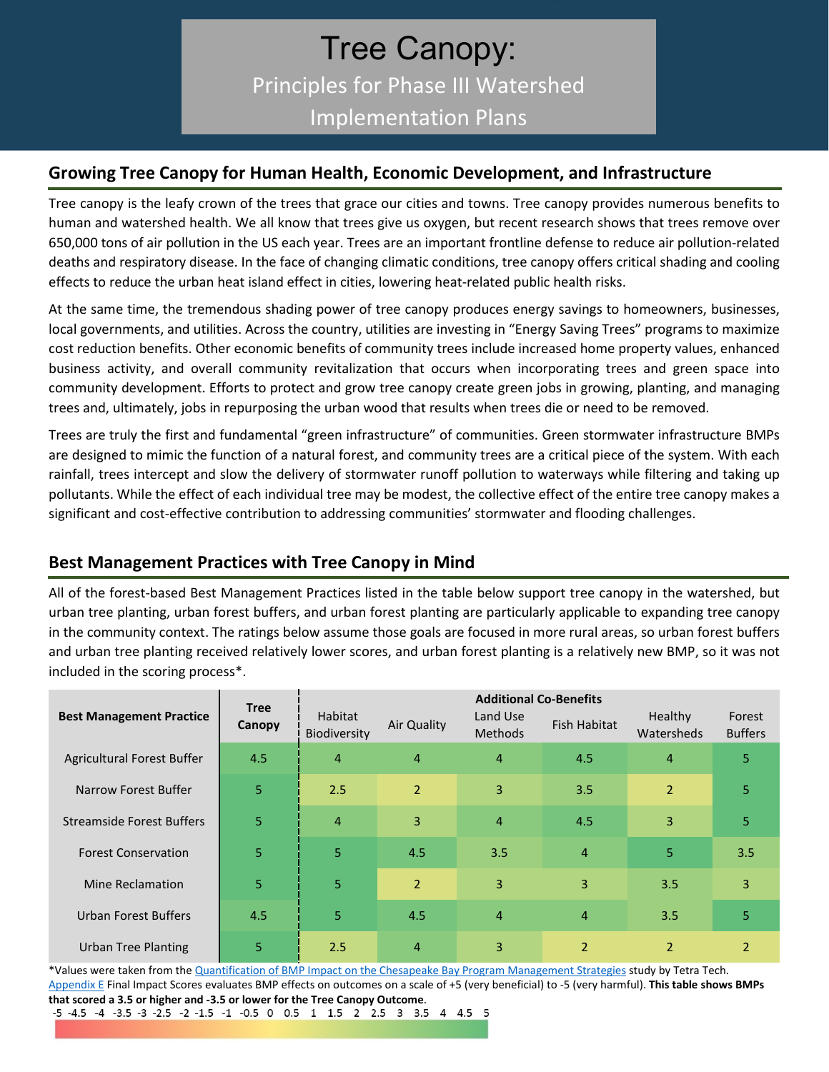# Tree Canopy: Principles for Phase III Watershed Implementation Plans

### **Growing Tree Canopy for Human Health, Economic Development, and Infrastructure**

Tree canopy is the leafy crown of the trees that grace our cities and towns. Tree canopy provides numerous benefits to human and watershed health. We all know that trees give us oxygen, but recent research shows that trees remove over 650,000 tons of air pollution in the US each year. Trees are an important frontline defense to reduce air pollution-related deaths and respiratory disease. In the face of changing climatic conditions, tree canopy offers critical shading and cooling effects to reduce the urban heat island effect in cities, lowering heat-related public health risks.

At the same time, the tremendous shading power of tree canopy produces energy savings to homeowners, businesses, local governments, and utilities. Across the country, utilities are investing in "Energy Saving Trees" programs to maximize cost reduction benefits. Other economic benefits of community trees include increased home property values, enhanced business activity, and overall community revitalization that occurs when incorporating trees and green space into community development. Efforts to protect and grow tree canopy create green jobs in growing, planting, and managing trees and, ultimately, jobs in repurposing the urban wood that results when trees die or need to be removed.

Trees are truly the first and fundamental "green infrastructure" of communities. Green stormwater infrastructure BMPs are designed to mimic the function of a natural forest, and community trees are a critical piece of the system. With each rainfall, trees intercept and slow the delivery of stormwater runoff pollution to waterways while filtering and taking up pollutants. While the effect of each individual tree may be modest, the collective effect of the entire tree canopy makes a significant and cost-effective contribution to addressing communities' stormwater and flooding challenges.

# **Best Management Practices with Tree Canopy in Mind**

All of the forest-based Best Management Practices listed in the table below support tree canopy in the watershed, but urban tree planting, urban forest buffers, and urban forest planting are particularly applicable to expanding tree canopy in the community context. The ratings below assume those goals are focused in more rural areas, so urban forest buffers and urban tree planting received relatively lower scores, and urban forest planting is a relatively new BMP, so it was not included in the scoring process\*.

|                                  | <b>Tree</b> | <b>Additional Co-Benefits</b> |                |                            |                |                              |                          |
|----------------------------------|-------------|-------------------------------|----------------|----------------------------|----------------|------------------------------|--------------------------|
| <b>Best Management Practice</b>  | Canopy      | Habitat<br>Biodiversity       | Air Quality    | Land Use<br><b>Methods</b> | Fish Habitat   | <b>Healthy</b><br>Watersheds | Forest<br><b>Buffers</b> |
| Agricultural Forest Buffer       | 4.5         | $\overline{4}$                | $\overline{4}$ | $\overline{4}$             | 4.5            | $\overline{4}$               | 5                        |
| Narrow Forest Buffer             | 5           | 2.5                           | $\overline{2}$ | 3                          | 3.5            | $\overline{2}$               | 5                        |
| <b>Streamside Forest Buffers</b> | 5           | $\overline{4}$                | 3              | $\overline{4}$             | 4.5            | 3                            | 5                        |
| <b>Forest Conservation</b>       | 5           | 5                             | 4.5            | 3.5                        | $\overline{4}$ | 5                            | 3.5                      |
| Mine Reclamation                 | 5           | 5                             | $\overline{2}$ | 3                          | $\overline{3}$ | 3.5                          | 3                        |
| <b>Urban Forest Buffers</b>      | 4.5         | 5                             | 4.5            | $\overline{4}$             | $\overline{4}$ | 3.5                          | 5                        |
| Urban Tree Planting              | 5           | 2.5                           | $\overline{4}$ | 3                          | $\overline{2}$ | $\overline{2}$               | $\mathcal{P}$            |

\*Values were taken from th[e Quantification of BMP Impact on the Chesapeake Bay Program Management Strategies](https://www.chesapeakebay.net/channel_files/25159/draft_bmp_impact_scoring_report_-_20170421.pdf) study by Tetra Tech. [Appendix E](https://drive.google.com/file/d/1s9yBjiUMn_kSKc5h04EHbNA-sy7vIxnA/view) Final Impact Scores evaluates BMP effects on outcomes on a scale of +5 (very beneficial) to -5 (very harmful). **This table shows BMPs that scored a 3.5 or higher and -3.5 or lower for the Tree Canopy Outcome**.